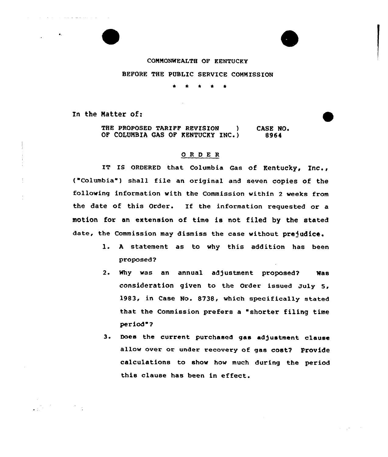## COMMONWEALTH OF KENTUCKY

BEFORE THE PUBLIC SERVICE COMMISSION

 $\Delta$  $\bullet$  $\bullet$ 

In the Matter of:

where  $\mathcal{L}=\mathcal{L}=\mathcal{L}$  is a set of  $\mathcal{L}=\mathcal{L}$  .

THE PROPOSED TARIFF REVISION ) OF COLUMBIA GAS OF KENTUCKY INC.) CASE NO. 8964

## ORDER

IT IS ORDERED that Columbia Gas of Kentucky, Inc., ("Columbia") shall file an original and seven copies of the following information with the Commission within 2 weeks from the date of this Order. If the information requested or a motion for an extension of time is not filed by the stated date, the Commission may dismiss the case without prejudice.

- l. <sup>A</sup> statement as to why this addition has been proposed 2
- 2. Why was an annual adjustment proposed? Was consideration given to the Order issued July 5, 1983, in Case No. 8738, which specifically stated that the Commission prefers a "shorter filing time period"?
- 3. Does the current purchased gas ad) ustment clause allow over or under recovery of gas cost? Provide calculations to show how much during the period this clause has been in effect.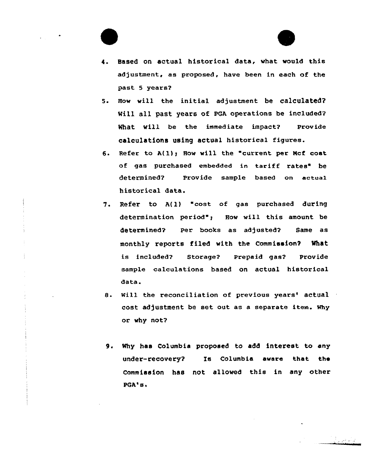

- 5. How will the initial adjustment be CalCulated? Will all past years of PGA operations be included? What will be the immediate impact? Provide calculations using actual historical figures.
- 6. Refer to  $A(1)$ ; How will the "current per Mcf cost of gas purchased embedded in tariff rates" be determined? Provide sample based on actual historical data.
- 7. Refer to A{1) "cost of gas purchased during determination period"; How will this amount be determined? Per books as adjusted? Same as monthly reports filed with the Commission? What is included? Storage2 Prepaid gas? Provide sample calculations based on actual historical data.
- 8. Will the reconciliation of previous years' actual cost adjustment be set out as a separate item. why or why not?
- 9. Why has Columbia proposed to add interest to any under-recovery? Is Columbia aware that the Commission has not allowed this in any other PGA's.